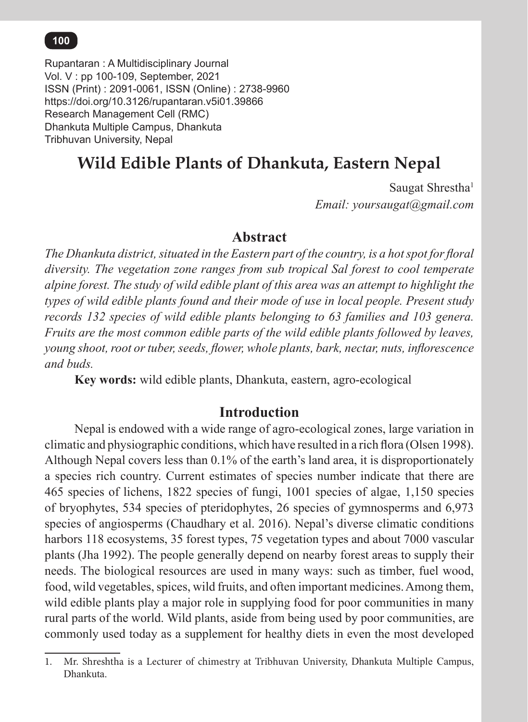## **100** *Rupantaran : A Multidisciplinary Journal, Vol. V, 2021*

Rupantaran : A Multidisciplinary Journal Vol. V : pp 100-109, September, 2021 ISSN (Print) : 2091-0061, ISSN (Online) : 2738-9960 https://doi.org/10.3126/rupantaran.v5i01.39866 Research Management Cell (RMC) Dhankuta Multiple Campus, Dhankuta Tribhuvan University, Nepal

# **Wild Edible Plants of Dhankuta, Eastern Nepal**

Saugat Shrestha<sup>1</sup> *Email: yoursaugat@gmail.com*

## **Abstract**

*The Dhankuta district, situated in the Eastern part of the country, is a hot spot for floral diversity. The vegetation zone ranges from sub tropical Sal forest to cool temperate alpine forest. The study of wild edible plant of this area was an attempt to highlight the types of wild edible plants found and their mode of use in local people. Present study records 132 species of wild edible plants belonging to 63 families and 103 genera. Fruits are the most common edible parts of the wild edible plants followed by leaves, young shoot, root or tuber, seeds, flower, whole plants, bark, nectar, nuts, inflorescence and buds.* 

**Key words:** wild edible plants, Dhankuta, eastern, agro-ecological

## **Introduction**

Nepal is endowed with a wide range of agro-ecological zones, large variation in climatic and physiographic conditions, which have resulted in a rich flora (Olsen 1998). Although Nepal covers less than 0.1% of the earth's land area, it is disproportionately a species rich country. Current estimates of species number indicate that there are 465 species of lichens, 1822 species of fungi, 1001 species of algae, 1,150 species of bryophytes, 534 species of pteridophytes, 26 species of gymnosperms and 6,973 species of angiosperms (Chaudhary et al. 2016). Nepal's diverse climatic conditions harbors 118 ecosystems, 35 forest types, 75 vegetation types and about 7000 vascular plants (Jha 1992). The people generally depend on nearby forest areas to supply their needs. The biological resources are used in many ways: such as timber, fuel wood, food, wild vegetables, spices, wild fruits, and often important medicines. Among them, wild edible plants play a major role in supplying food for poor communities in many rural parts of the world. Wild plants, aside from being used by poor communities, are commonly used today as a supplement for healthy diets in even the most developed

<sup>1.</sup> Mr. Shreshtha is a Lecturer of chimestry at Tribhuvan University, Dhankuta Multiple Campus, Dhankuta.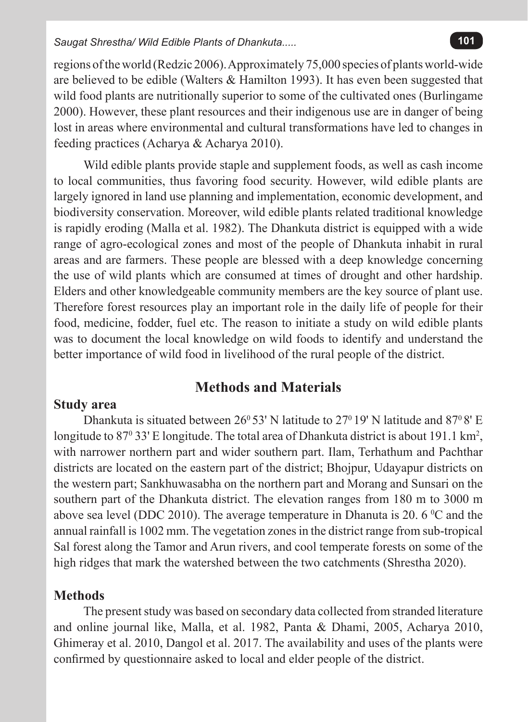regions of the world (Redzic 2006). Approximately 75,000 species of plants world-wide are believed to be edible (Walters & Hamilton 1993). It has even been suggested that wild food plants are nutritionally superior to some of the cultivated ones (Burlingame 2000). However, these plant resources and their indigenous use are in danger of being lost in areas where environmental and cultural transformations have led to changes in feeding practices (Acharya & Acharya 2010).

Wild edible plants provide staple and supplement foods, as well as cash income to local communities, thus favoring food security. However, wild edible plants are largely ignored in land use planning and implementation, economic development, and biodiversity conservation. Moreover, wild edible plants related traditional knowledge is rapidly eroding (Malla et al. 1982). The Dhankuta district is equipped with a wide range of agro-ecological zones and most of the people of Dhankuta inhabit in rural areas and are farmers. These people are blessed with a deep knowledge concerning the use of wild plants which are consumed at times of drought and other hardship. Elders and other knowledgeable community members are the key source of plant use. Therefore forest resources play an important role in the daily life of people for their food, medicine, fodder, fuel etc. The reason to initiate a study on wild edible plants was to document the local knowledge on wild foods to identify and understand the better importance of wild food in livelihood of the rural people of the district.

## **Methods and Materials**

### **Study area**

Dhankuta is situated between 26<sup>0</sup>53' N latitude to 27<sup>0</sup> 19' N latitude and 87<sup>0</sup> 8' E longitude to  $87^{\circ}$  33' E longitude. The total area of Dhankuta district is about 191.1 km<sup>2</sup>, with narrower northern part and wider southern part. Ilam, Terhathum and Pachthar districts are located on the eastern part of the district; Bhojpur, Udayapur districts on the western part; Sankhuwasabha on the northern part and Morang and Sunsari on the southern part of the Dhankuta district. The elevation ranges from 180 m to 3000 m above sea level (DDC 2010). The average temperature in Dhanuta is 20. 6  $^{\circ}$ C and the annual rainfall is 1002 mm. The vegetation zones in the district range from sub-tropical Sal forest along the Tamor and Arun rivers, and cool temperate forests on some of the high ridges that mark the watershed between the two catchments (Shrestha 2020).

## **Methods**

The present study was based on secondary data collected from stranded literature and online journal like, Malla, et al. 1982, Panta & Dhami, 2005, Acharya 2010, Ghimeray et al. 2010, Dangol et al. 2017. The availability and uses of the plants were confirmed by questionnaire asked to local and elder people of the district.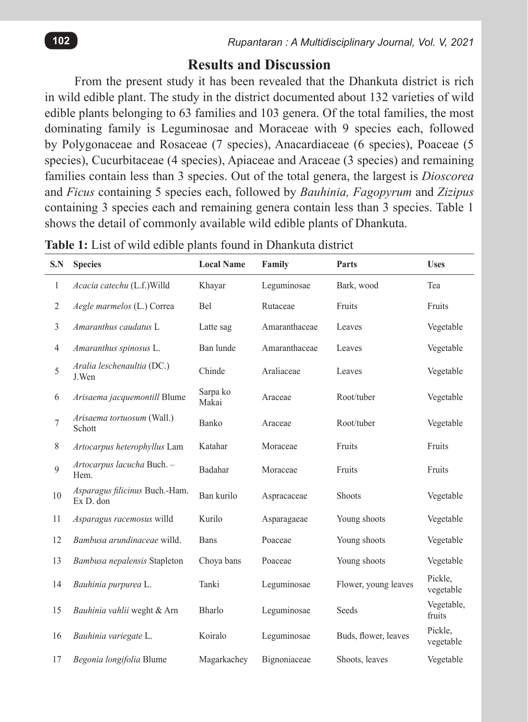## **Results and Discussion**

From the present study it has been revealed that the Dhankuta district is rich in wild edible plant. The study in the district documented about 132 varieties of wild edible plants belonging to 63 families and 103 genera. Of the total families, the most dominating family is Leguminosae and Moraceae with 9 species each, followed by Polygonaceae and Rosaceae (7 species), Anacardiaceae (6 species), Poaceae (5 species), Cucurbitaceae (4 species), Apiaceae and Araceae (3 species) and remaining families contain less than 3 species. Out of the total genera, the largest is *Dioscorea* and *Ficus* containing 5 species each, followed by *Bauhinia, Fagopyrum* and *Zizipus*  containing 3 species each and remaining genera contain less than 3 species. Table 1 shows the detail of commonly available wild edible plants of Dhankuta.

| S.N            | <b>Species</b>                              | <b>Local Name</b> | Family        | Parts                | <b>Uses</b>          |
|----------------|---------------------------------------------|-------------------|---------------|----------------------|----------------------|
| $\mathbf{1}$   | Acacia catechu (L.f.) Willd                 | Khayar            | Leguminosae   | Bark, wood           | Tea                  |
| $\overline{2}$ | Aegle marmelos (L.) Correa                  | <b>Bel</b>        | Rutaceae      | Fruits               | Fruits               |
| 3              | Amaranthus caudatus L                       | Latte sag         | Amaranthaceae | Leaves               | Vegetable            |
| $\overline{4}$ | Amaranthus spinosus L.                      | Ban lunde         | Amaranthaceae | Leaves               | Vegetable            |
| 5              | Aralia leschenaultia (DC.)<br>J.Wen         | Chinde            | Araliaceae    | Leaves               | Vegetable            |
| 6              | Arisaema jacquemontill Blume                | Sarpa ko<br>Makai | Araceae       | Root/tuber           | Vegetable            |
| 7              | Arisaema tortuosum (Wall.)<br>Schott        | Banko             | Araceae       | Root/tuber           | Vegetable            |
| 8              | Artocarpus heterophyllus Lam                | Katahar           | Moraceae      | Fruits               | Fruits               |
| $\mathbf{Q}$   | Artocarpus lacucha Buch. -<br>Hem.          | Badahar           | Moraceae      | Fruits               | Fruits               |
| 10             | Asparagus filicinus Buch.-Ham.<br>Ex D. don | Ban kurilo        | Aspracaceae   | Shoots               | Vegetable            |
| 11             | Asparagus racemosus willd                   | Kurilo            | Asparagaeae   | Young shoots         | Vegetable            |
| 12             | Bambusa arundinaceae willd.                 | <b>Bans</b>       | Poaceae       | Young shoots         | Vegetable            |
| 13             | Bambusa nepalensis Stapleton                | Choya bans        | Poaceae       | Young shoots         | Vegetable            |
| 14             | Bauhinia purpurea L.                        | Tanki             | Leguminosae   | Flower, young leaves | Pickle,<br>vegetable |
| 15             | Bauhinia vahlii weght & Arn                 | Bharlo            | Leguminosae   | Seeds                | Vegetable,<br>fruits |
| 16             | Bauhinia variegate L.                       | Koiralo           | Leguminosae   | Buds, flower, leaves | Pickle,<br>vegetable |
| 17             | Begonia longifolia Blume                    | Magarkachey       | Bignoniaceae  | Shoots, leaves       | Vegetable            |

**Table 1:** List of wild edible plants found in Dhankuta district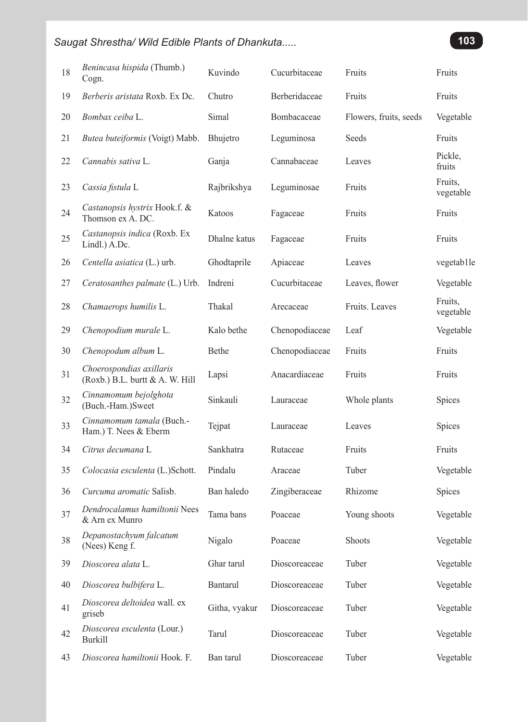| 18 | Benincasa hispida (Thumb.)<br>Cogn.                         | Kuvindo       | Cucurbitaceae  | Fruits                 | Fruits               |
|----|-------------------------------------------------------------|---------------|----------------|------------------------|----------------------|
| 19 | Berberis aristata Roxb. Ex Dc.                              | Chutro        | Berberidaceae  | Fruits                 | Fruits               |
| 20 | Bombax ceiba L.                                             | Simal         | Bombacaceae    | Flowers, fruits, seeds | Vegetable            |
| 21 | Butea buteiformis (Voigt) Mabb.                             | Bhujetro      | Leguminosa     | Seeds                  | Fruits               |
| 22 | Cannabis sativa L.                                          | Ganja         | Cannabaceae    | Leaves                 | Pickle,<br>fruits    |
| 23 | Cassia fistula L                                            | Rajbrikshya   | Leguminosae    | Fruits                 | Fruits.<br>vegetable |
| 24 | Castanopsis hystrix Hook.f. &<br>Thomson ex A. DC.          | Katoos        | Fagaceae       | Fruits                 | Fruits               |
| 25 | Castanopsis indica (Roxb. Ex<br>Lindl.) A.Dc.               | Dhalne katus  | Fagaceae       | Fruits                 | Fruits               |
| 26 | Centella asiatica (L.) urb.                                 | Ghodtaprile   | Apiaceae       | Leaves                 | vegetab1le           |
| 27 | Ceratosanthes palmate (L.) Urb.                             | Indreni       | Cucurbitaceae  | Leaves, flower         | Vegetable            |
| 28 | Chamaerops humilis L.                                       | Thakal        | Arecaceae      | Fruits. Leaves         | Fruits,<br>vegetable |
| 29 | Chenopodium murale L.                                       | Kalo bethe    | Chenopodiaceae | Leaf                   | Vegetable            |
| 30 | Chenopodum album L.                                         | Bethe         | Chenopodiaceae | Fruits                 | Fruits               |
| 31 | Choerospondias axillaris<br>(Roxb.) B.L. burtt & A. W. Hill | Lapsi         | Anacardiaceae  | Fruits                 | Fruits               |
| 32 | Cinnamomum bejolghota<br>(Buch.-Ham.)Sweet                  | Sinkauli      | Lauraceae      | Whole plants           | Spices               |
| 33 | Cinnamomum tamala (Buch.-<br>Ham.) T. Nees & Eberm          | Tejpat        | Lauraceae      | Leaves                 | Spices               |
| 34 | Citrus decumana L                                           | Sankhatra     | Rutaceae       | Fruits                 | Fruits               |
| 35 | Colocasia esculenta (L.)Schott.                             | Pindalu       | Araceae        | Tuber                  | Vegetable            |
| 36 | Curcuma aromatic Salisb.                                    | Ban haledo    | Zingiberaceae  | Rhizome                | Spices               |
| 37 | Dendrocalamus hamiltonii Nees<br>& Arn ex Munro             | Tama bans     | Poaceae        | Young shoots           | Vegetable            |
| 38 | Depanostachyum falcatum<br>(Nees) Keng f.                   | Nigalo        | Poaceae        | Shoots                 | Vegetable            |
| 39 | Dioscorea alata L.                                          | Ghar tarul    | Dioscoreaceae  | Tuber                  | Vegetable            |
| 40 | Dioscorea bulbifera L.                                      | Bantarul      | Dioscoreaceae  | Tuber                  | Vegetable            |
| 41 | Dioscorea deltoidea wall. ex<br>griseb                      | Githa, vyakur | Dioscoreaceae  | Tuber                  | Vegetable            |
| 42 | Dioscorea esculenta (Lour.)<br><b>Burkill</b>               | Tarul         | Dioscoreaceae  | Tuber                  | Vegetable            |
| 43 | Dioscorea hamiltonii Hook. F.                               | Ban tarul     | Dioscoreaceae  | Tuber                  | Vegetable            |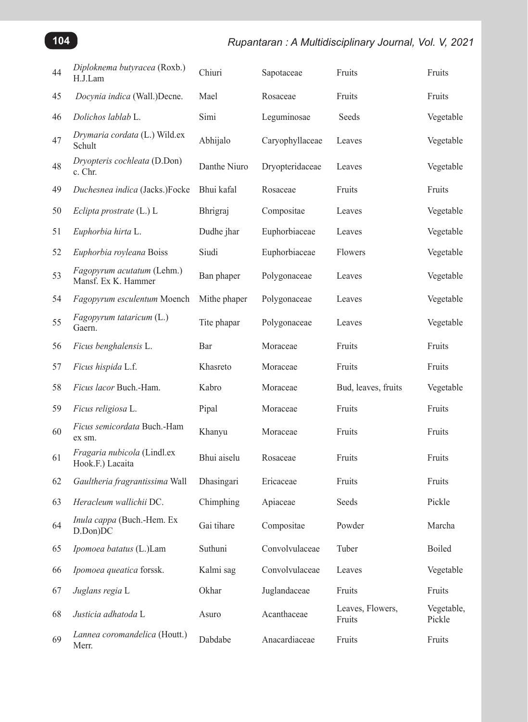## *Rupantaran : A Multidisciplinary Journal, Vol. V, 2021*

| 44 | Diploknema butyracea (Roxb.)<br>H.J.Lam           | Chiuri       | Sapotaceae      | Fruits                     | Fruits               |
|----|---------------------------------------------------|--------------|-----------------|----------------------------|----------------------|
| 45 | Docynia indica (Wall.)Decne.                      | Mael         | Rosaceae        | Fruits                     | Fruits               |
| 46 | Dolichos lablab L.                                | Simi         | Leguminosae     | Seeds                      | Vegetable            |
| 47 | Drymaria cordata (L.) Wild.ex<br>Schult           | Abhijalo     | Caryophyllaceae | Leaves                     | Vegetable            |
| 48 | Dryopteris cochleata (D.Don)<br>c. Chr.           | Danthe Niuro | Dryopteridaceae | Leaves                     | Vegetable            |
| 49 | Duchesnea indica (Jacks.)Focke                    | Bhui kafal   | Rosaceae        | Fruits                     | Fruits               |
| 50 | Eclipta prostrate (L.) L                          | Bhrigraj     | Compositae      | Leaves                     | Vegetable            |
| 51 | Euphorbia hirta L.                                | Dudhe jhar   | Euphorbiaceae   | Leaves                     | Vegetable            |
| 52 | Euphorbia royleana Boiss                          | Siudi        | Euphorbiaceae   | Flowers                    | Vegetable            |
| 53 | Fagopyrum acutatum (Lehm.)<br>Mansf. Ex K. Hammer | Ban phaper   | Polygonaceae    | Leaves                     | Vegetable            |
| 54 | Fagopyrum esculentum Moench                       | Mithe phaper | Polygonaceae    | Leaves                     | Vegetable            |
| 55 | Fagopyrum tataricum (L.)<br>Gaern.                | Tite phapar  | Polygonaceae    | Leaves                     | Vegetable            |
| 56 | Ficus benghalensis L.                             | Bar          | Moraceae        | Fruits                     | Fruits               |
| 57 | Ficus hispida L.f.                                | Khasreto     | Moraceae        | Fruits                     | Fruits               |
| 58 | Ficus lacor Buch.-Ham.                            | Kabro        | Moraceae        | Bud, leaves, fruits        | Vegetable            |
| 59 | Ficus religiosa L.                                | Pipal        | Moraceae        | Fruits                     | Fruits               |
| 60 | Ficus semicordata Buch.-Ham<br>ex sm.             | Khanyu       | Moraceae        | Fruits                     | Fruits               |
| 61 | Fragaria nubicola (Lindl.ex<br>Hook.F.) Lacaita   | Bhui aiselu  | Rosaceae        | Fruits                     | Fruits               |
| 62 | Gaultheria fragrantissima Wall                    | Dhasingari   | Ericaceae       | Fruits                     | Fruits               |
| 63 | Heracleum wallichii DC.                           | Chimphing    | Apiaceae        | Seeds                      | Pickle               |
| 64 | Inula cappa (Buch.-Hem. Ex<br>D.Don)DC            | Gai tihare   | Compositae      | Powder                     | Marcha               |
| 65 | Ipomoea batatus (L.)Lam                           | Suthuni      | Convolvulaceae  | Tuber                      | Boiled               |
| 66 | Ipomoea queatica forssk.                          | Kalmi sag    | Convolvulaceae  | Leaves                     | Vegetable            |
| 67 | Juglans regia L                                   | Okhar        | Juglandaceae    | Fruits                     | Fruits               |
| 68 | Justicia adhatoda L                               | Asuro        | Acanthaceae     | Leaves, Flowers,<br>Fruits | Vegetable,<br>Pickle |
| 69 | Lannea coromandelica (Houtt.)<br>Merr.            | Dabdabe      | Anacardiaceae   | Fruits                     | Fruits               |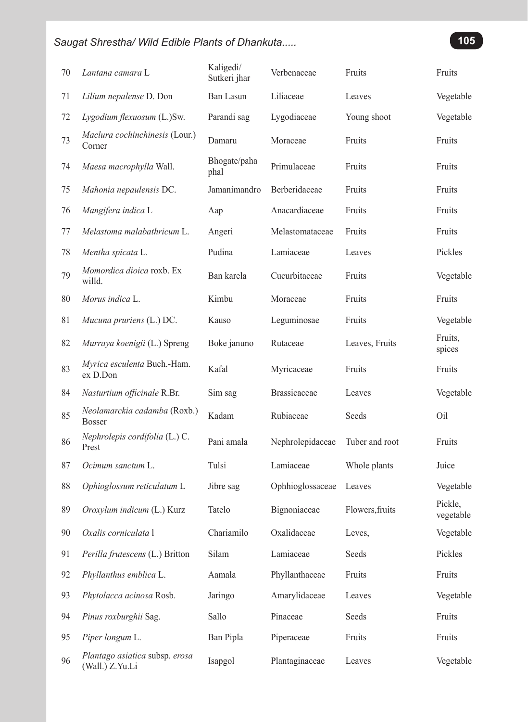| 70 | Lantana camara L                                  | Kaligedi/<br>Sutkeri jhar | Verbenaceae         | Fruits          | Fruits               |
|----|---------------------------------------------------|---------------------------|---------------------|-----------------|----------------------|
| 71 | Lilium nepalense D. Don                           | Ban Lasun                 | Liliaceae           | Leaves          | Vegetable            |
| 72 | Lygodium flexuosum (L.)Sw.                        | Parandi sag               | Lygodiaceae         | Young shoot     | Vegetable            |
| 73 | Maclura cochinchinesis (Lour.)<br>Corner          | Damaru                    | Moraceae            | Fruits          | Fruits               |
| 74 | Maesa macrophylla Wall.                           | Bhogate/paha<br>phal      | Primulaceae         | Fruits          | Fruits               |
| 75 | Mahonia nepaulensis DC.                           | Jamanimandro              | Berberidaceae       | Fruits          | Fruits               |
| 76 | Mangifera indica L                                | Aap                       | Anacardiaceae       | Fruits          | Fruits               |
| 77 | Melastoma malabathricum L.                        | Angeri                    | Melastomataceae     | Fruits          | Fruits               |
| 78 | Mentha spicata L.                                 | Pudina                    | Lamiaceae           | Leaves          | Pickles              |
| 79 | Momordica dioica roxb. Ex<br>willd.               | Ban karela                | Cucurbitaceae       | Fruits          | Vegetable            |
| 80 | Morus indica L.                                   | Kimbu                     | Moraceae            | Fruits          | Fruits               |
| 81 | Mucuna pruriens (L.) DC.                          | Kauso                     | Leguminosae         | Fruits          | Vegetable            |
| 82 | Murraya koenigii (L.) Spreng                      | Boke januno               | Rutaceae            | Leaves, Fruits  | Fruits,<br>spices    |
| 83 | Myrica esculenta Buch.-Ham.<br>ex D.Don           | Kafal                     | Myricaceae          | Fruits          | Fruits               |
| 84 | Nasturtium officinale R.Br.                       | Sim sag                   | <b>Brassicaceae</b> | Leaves          | Vegetable            |
| 85 | Neolamarckia cadamba (Roxb.)<br><b>Bosser</b>     | Kadam                     | Rubiaceae           | Seeds           | Oil                  |
| 86 | Nephrolepis cordifolia (L.) C.<br>Prest           | Pani amala                | Nephrolepidaceae    | Tuber and root  | Fruits               |
| 87 | Ocimum sanctum L.                                 | Tulsi                     | Lamiaceae           | Whole plants    | Juice                |
| 88 | Ophioglossum reticulatum L                        | Jibre sag                 | Ophhioglossaceae    | Leaves          | Vegetable            |
| 89 | Oroxylum indicum (L.) Kurz                        | Tatelo                    | Bignoniaceae        | Flowers, fruits | Pickle,<br>vegetable |
| 90 | Oxalis corniculata l                              | Chariamilo                | Oxalidaceae         | Leves.          | Vegetable            |
| 91 | Perilla frutescens (L.) Britton                   | Silam                     | Lamiaceae           | Seeds           | Pickles              |
| 92 | Phyllanthus emblica L.                            | Aamala                    | Phyllanthaceae      | Fruits          | Fruits               |
| 93 | Phytolacca acinosa Rosb.                          | Jaringo                   | Amarylidaceae       | Leaves          | Vegetable            |
| 94 | Pinus roxburghii Sag.                             | Sallo                     | Pinaceae            | Seeds           | Fruits               |
| 95 | Piper longum L.                                   | Ban Pipla                 | Piperaceae          | Fruits          | Fruits               |
| 96 | Plantago asiatica subsp. erosa<br>(Wall.) Z.Yu.Li | Isapgol                   | Plantaginaceae      | Leaves          | Vegetable            |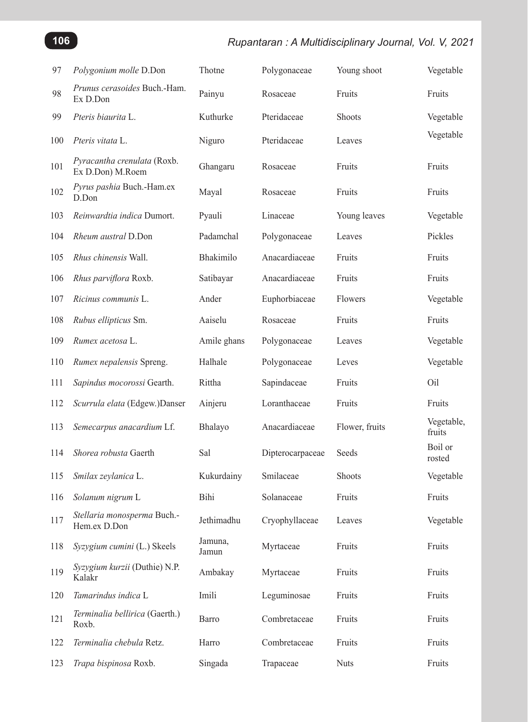## *Rupantaran : A Multidisciplinary Journal, Vol. V, 2021*

| 97  | Polygonium molle D.Don                          | Thotne           | Polygonaceae     | Young shoot    | Vegetable            |
|-----|-------------------------------------------------|------------------|------------------|----------------|----------------------|
| 98  | <i>Prunus cerasoides Buch.-Ham.</i><br>Ex D.Don | Painyu           | Rosaceae         | Fruits         | Fruits               |
| 99  | Pteris biaurita L.                              | Kuthurke         | Pteridaceae      | <b>Shoots</b>  | Vegetable            |
| 100 | Pteris vitata L.                                | Niguro           | Pteridaceae      | Leaves         | Vegetable            |
| 101 | Pyracantha crenulata (Roxb.<br>Ex D.Don) M.Roem | Ghangaru         | Rosaceae         | Fruits         | Fruits               |
| 102 | Pyrus pashia Buch.-Ham.ex<br>D.Don              | Mayal            | Rosaceae         | Fruits         | Fruits               |
| 103 | Reinwardtia indica Dumort.                      | Pyauli           | Linaceae         | Young leaves   | Vegetable            |
| 104 | Rheum austral D.Don                             | Padamchal        | Polygonaceae     | Leaves         | Pickles              |
| 105 | Rhus chinensis Wall.                            | Bhakimilo        | Anacardiaceae    | Fruits         | Fruits               |
| 106 | Rhus parviflora Roxb.                           | Satibayar        | Anacardiaceae    | Fruits         | Fruits               |
| 107 | Ricinus communis L.                             | Ander            | Euphorbiaceae    | Flowers        | Vegetable            |
| 108 | Rubus ellipticus Sm.                            | Aaiselu          | Rosaceae         | Fruits         | Fruits               |
| 109 | Rumex acetosa L.                                | Amile ghans      | Polygonaceae     | Leaves         | Vegetable            |
| 110 | Rumex nepalensis Spreng.                        | Halhale          | Polygonaceae     | Leves          | Vegetable            |
| 111 | Sapindus mocorossi Gearth.                      | Rittha           | Sapindaceae      | Fruits         | Oil                  |
| 112 | Scurrula elata (Edgew.)Danser                   | Ainjeru          | Loranthaceae     | Fruits         | Fruits               |
| 113 | Semecarpus anacardium Lf.                       | Bhalayo          | Anacardiaceae    | Flower, fruits | Vegetable,<br>fruits |
| 114 | Shorea robusta Gaerth                           | Sal              | Dipterocarpaceae | Seeds          | Boil or<br>rosted    |
| 115 | Smilax zeylanica L.                             | Kukurdainy       | Smilaceae        | Shoots         | Vegetable            |
| 116 | Solanum nigrum L                                | Bihi             | Solanaceae       | Fruits         | Fruits               |
| 117 | Stellaria monosperma Buch.-<br>Hem.ex D.Don     | Jethimadhu       | Cryophyllaceae   | Leaves         | Vegetable            |
| 118 | Syzygium cumini (L.) Skeels                     | Jamuna,<br>Jamun | Myrtaceae        | Fruits         | Fruits               |
| 119 | Syzygium kurzii (Duthie) N.P.<br>Kalakr         | Ambakay          | Myrtaceae        | Fruits         | Fruits               |
| 120 | Tamarindus indica L                             | Imili            | Leguminosae      | Fruits         | Fruits               |
| 121 | Terminalia bellirica (Gaerth.)<br>Roxb.         | Barro            | Combretaceae     | Fruits         | Fruits               |
| 122 | Terminalia chebula Retz.                        | Harro            | Combretaceae     | Fruits         | Fruits               |
| 123 | Trapa bispinosa Roxb.                           | Singada          | Trapaceae        | <b>Nuts</b>    | Fruits               |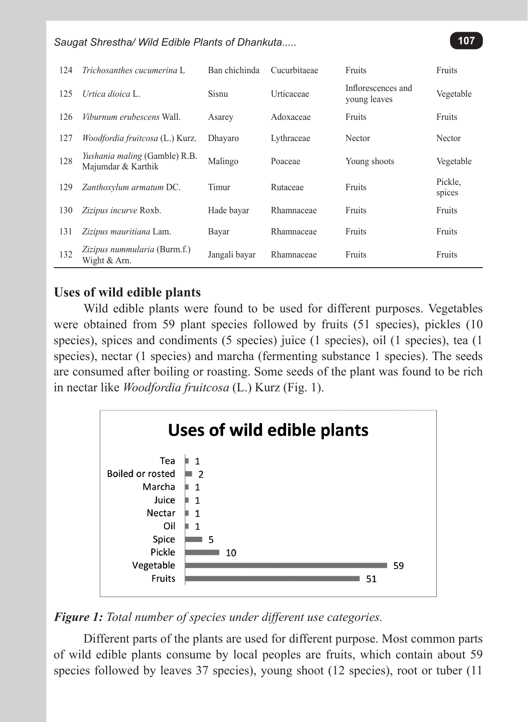| 124 | Trichosanthes cucumerina L.                         | Ban chichinda | Cucurbitaeae | Fruits                             | Fruits            |
|-----|-----------------------------------------------------|---------------|--------------|------------------------------------|-------------------|
| 125 | Urtica dioica L                                     | Sisnu         | Urticaceae   | Inflorescences and<br>young leaves | Vegetable         |
| 126 | Viburnum erubescens Wall.                           | Asarey        | Adoxaceae    | Fruits                             | <b>Fruits</b>     |
| 127 | <i>Woodfordia fruitcosa</i> (L.) Kurz.              | Dhayaro       | Lythraceae   | Nector                             | Nector            |
| 128 | Yushania maling (Gamble) R.B.<br>Majumdar & Karthik | Malingo       | Poaceae      | Young shoots                       | Vegetable         |
| 129 | Zanthoxylum armatum DC.                             | Timur         | Rutaceae     | Fruits                             | Pickle,<br>spices |
| 130 | Zizipus incurve Roxb.                               | Hade bayar    | Rhamnaceae   | Fruits                             | <b>Fruits</b>     |
| 131 | Zizipus mauritiana Lam.                             | Bayar         | Rhamnaceae   | Fruits                             | Fruits            |
| 132 | Zizipus nummularia (Burm.f.)<br>Wight & Arn.        | Jangali bayar | Rhamnaceae   | Fruits                             | <b>Fruits</b>     |

## **Uses of wild edible plants**

Wild edible plants were found to be used for different purposes. Vegetables were obtained from 59 plant species followed by fruits (51 species), pickles (10 species), spices and condiments (5 species) juice (1 species), oil (1 species), tea (1 species), nectar (1 species) and marcha (fermenting substance 1 species). The seeds are consumed after boiling or roasting. Some seeds of the plant was found to be rich in nectar like *Woodfordia fruitcosa* (L.) Kurz (Fig. 1).



## *Figure 1: Total number of species under different use categories.*

Different parts of the plants are used for different purpose. Most common parts of wild edible plants consume by local peoples are fruits, which contain about 59 species followed by leaves 37 species), young shoot (12 species), root or tuber (11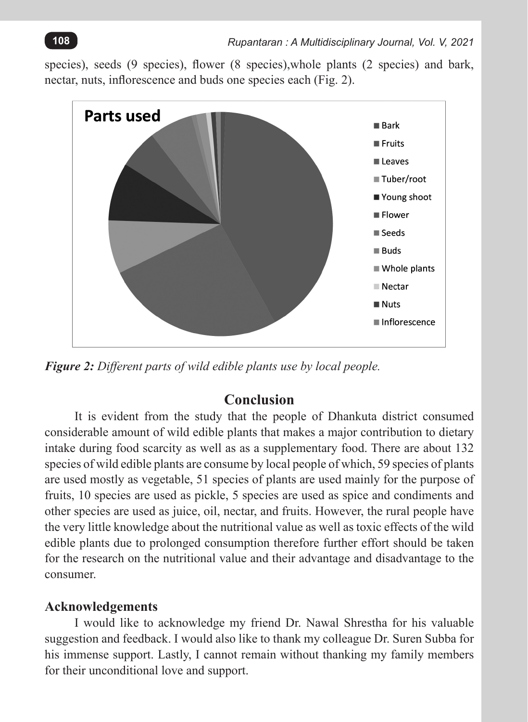species), seeds (9 species), flower (8 species),whole plants (2 species) and bark, nectar, nuts, inflorescence and buds one species each (Fig. 2).



*Figure 2: Different parts of wild edible plants use by local people.*

## **Conclusion**

It is evident from the study that the people of Dhankuta district consumed considerable amount of wild edible plants that makes a major contribution to dietary intake during food scarcity as well as as a supplementary food. There are about 132 species of wild edible plants are consume by local people of which, 59 species of plants are used mostly as vegetable, 51 species of plants are used mainly for the purpose of fruits, 10 species are used as pickle, 5 species are used as spice and condiments and other species are used as juice, oil, nectar, and fruits. However, the rural people have the very little knowledge about the nutritional value as well as toxic effects of the wild edible plants due to prolonged consumption therefore further effort should be taken for the research on the nutritional value and their advantage and disadvantage to the consumer.

## **Acknowledgements**

I would like to acknowledge my friend Dr. Nawal Shrestha for his valuable suggestion and feedback. I would also like to thank my colleague Dr. Suren Subba for his immense support. Lastly, I cannot remain without thanking my family members for their unconditional love and support.